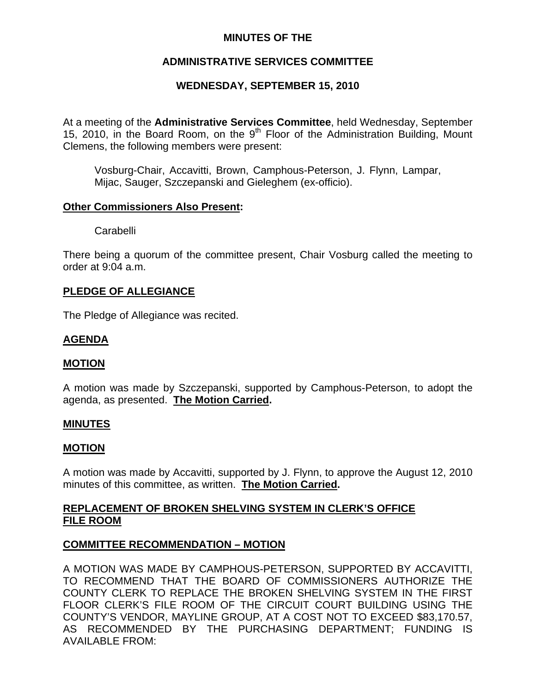## **MINUTES OF THE**

# **ADMINISTRATIVE SERVICES COMMITTEE**

# **WEDNESDAY, SEPTEMBER 15, 2010**

At a meeting of the **Administrative Services Committee**, held Wednesday, September 15, 2010, in the Board Room, on the 9<sup>th</sup> Floor of the Administration Building, Mount Clemens, the following members were present:

Vosburg-Chair, Accavitti, Brown, Camphous-Peterson, J. Flynn, Lampar, Mijac, Sauger, Szczepanski and Gieleghem (ex-officio).

#### **Other Commissioners Also Present:**

**Carabelli** 

There being a quorum of the committee present, Chair Vosburg called the meeting to order at 9:04 a.m.

## **PLEDGE OF ALLEGIANCE**

The Pledge of Allegiance was recited.

# **AGENDA**

## **MOTION**

A motion was made by Szczepanski, supported by Camphous-Peterson, to adopt the agenda, as presented. **The Motion Carried.** 

#### **MINUTES**

#### **MOTION**

A motion was made by Accavitti, supported by J. Flynn, to approve the August 12, 2010 minutes of this committee, as written. **The Motion Carried.** 

## **REPLACEMENT OF BROKEN SHELVING SYSTEM IN CLERK'S OFFICE FILE ROOM**

## **COMMITTEE RECOMMENDATION – MOTION**

A MOTION WAS MADE BY CAMPHOUS-PETERSON, SUPPORTED BY ACCAVITTI, TO RECOMMEND THAT THE BOARD OF COMMISSIONERS AUTHORIZE THE COUNTY CLERK TO REPLACE THE BROKEN SHELVING SYSTEM IN THE FIRST FLOOR CLERK'S FILE ROOM OF THE CIRCUIT COURT BUILDING USING THE COUNTY'S VENDOR, MAYLINE GROUP, AT A COST NOT TO EXCEED \$83,170.57, AS RECOMMENDED BY THE PURCHASING DEPARTMENT; FUNDING IS AVAILABLE FROM: